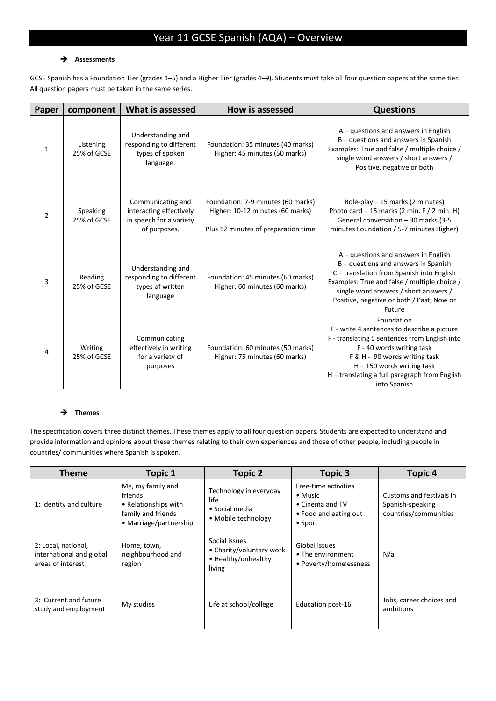# Year 11 GCSE Spanish (AQA) – Overview

## **Assessments**

GCSE Spanish has a Foundation Tier (grades 1–5) and a Higher Tier (grades 4–9). Students must take all four question papers at the same tier. All question papers must be taken in the same series.

| Paper        | component                | What is assessed                                                                        | <b>How is assessed</b>                                                                                        | <b>Questions</b>                                                                                                                                                                                                                                                          |
|--------------|--------------------------|-----------------------------------------------------------------------------------------|---------------------------------------------------------------------------------------------------------------|---------------------------------------------------------------------------------------------------------------------------------------------------------------------------------------------------------------------------------------------------------------------------|
| $\mathbf{1}$ | Listening<br>25% of GCSE | Understanding and<br>responding to different<br>types of spoken<br>language.            | Foundation: 35 minutes (40 marks)<br>Higher: 45 minutes (50 marks)                                            | $A -$ questions and answers in English<br>B - questions and answers in Spanish<br>Examples: True and false / multiple choice /<br>single word answers / short answers /<br>Positive, negative or both                                                                     |
| 2            | Speaking<br>25% of GCSE  | Communicating and<br>interacting effectively<br>in speech for a variety<br>of purposes. | Foundation: 7-9 minutes (60 marks)<br>Higher: 10-12 minutes (60 marks)<br>Plus 12 minutes of preparation time | Role-play $-15$ marks (2 minutes)<br>Photo card $-15$ marks (2 min. F / 2 min. H)<br>General conversation - 30 marks (3-5<br>minutes Foundation / 5-7 minutes Higher)                                                                                                     |
| 3            | Reading<br>25% of GCSE   | Understanding and<br>responding to different<br>types of written<br>language            | Foundation: 45 minutes (60 marks)<br>Higher: 60 minutes (60 marks)                                            | $A -$ questions and answers in English<br>B - questions and answers in Spanish<br>C-translation from Spanish into English<br>Examples: True and false / multiple choice /<br>single word answers / short answers /<br>Positive, negative or both / Past, Now or<br>Future |
| 4            | Writing<br>25% of GCSE   | Communicating<br>effectively in writing<br>for a variety of<br>purposes                 | Foundation: 60 minutes (50 marks)<br>Higher: 75 minutes (60 marks)                                            | Foundation<br>F - write 4 sentences to describe a picture<br>F - translating 5 sentences from English into<br>F - 40 words writing task<br>F & H - 90 words writing task<br>$H - 150$ words writing task<br>H - translating a full paragraph from English<br>into Spanish |

## **→** Themes

The specification covers three distinct themes. These themes apply to all four question papers. Students are expected to understand and provide information and opinions about these themes relating to their own experiences and those of other people, including people in countries/ communities where Spanish is spoken.

| <b>Theme</b>                                                         | <b>Topic 1</b>                                                                                       | <b>Topic 2</b>                                                             | <b>Topic 3</b>                                                                                         | <b>Topic 4</b>                                                        |
|----------------------------------------------------------------------|------------------------------------------------------------------------------------------------------|----------------------------------------------------------------------------|--------------------------------------------------------------------------------------------------------|-----------------------------------------------------------------------|
| 1: Identity and culture                                              | Me, my family and<br>friends<br>• Relationships with<br>family and friends<br>• Marriage/partnership | Technology in everyday<br>life<br>• Social media<br>• Mobile technology    | Free-time activities<br>$\bullet$ Music<br>• Cinema and TV<br>• Food and eating out<br>$\bullet$ Sport | Customs and festivals in<br>Spanish-speaking<br>countries/communities |
| 2: Local, national,<br>international and global<br>areas of interest | Home, town,<br>neighbourhood and<br>region                                                           | Social issues<br>• Charity/voluntary work<br>• Healthy/unhealthy<br>living | Global issues<br>• The environment<br>• Poverty/homelessness                                           | N/a                                                                   |
| 3: Current and future<br>study and employment                        | My studies                                                                                           | Life at school/college                                                     | Education post-16                                                                                      | Jobs, career choices and<br>ambitions                                 |